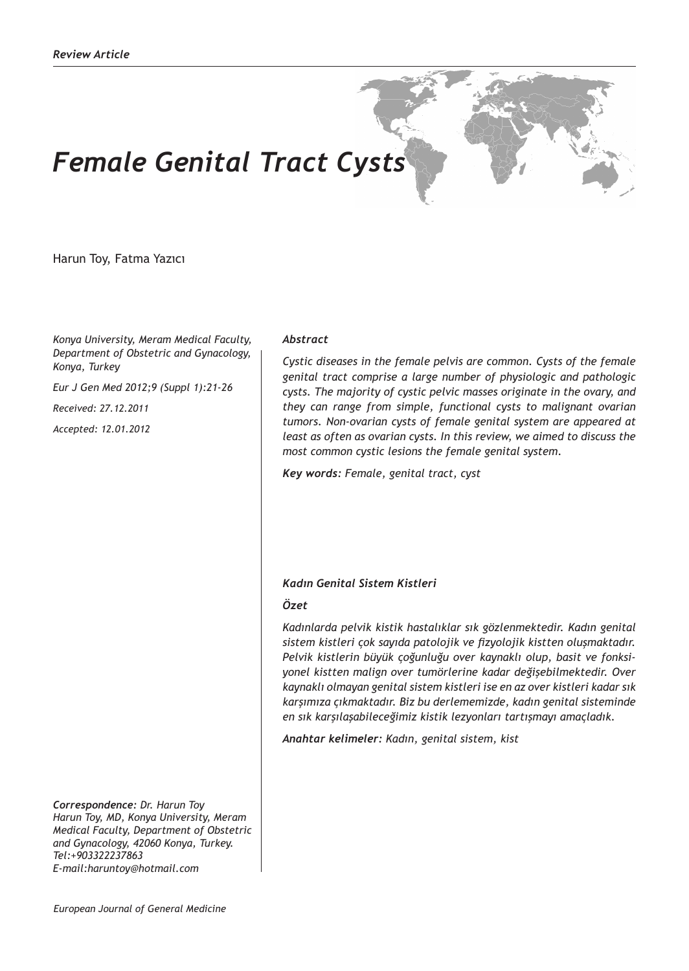# *Female Genital Tract Cysts*

Harun Toy, Fatma Yazıcı

*Konya University, Meram Medical Faculty, Department of Obstetric and Gynacology, Konya, Turkey* 

*Eur J Gen Med 2012;9 (Suppl 1):21-26*

*Received: 27.12.2011*

*Accepted: 12.01.2012*

*Abstract*

*Cystic diseases in the female pelvis are common. Cysts of the female genital tract comprise a large number of physiologic and pathologic cysts. The majority of cystic pelvic masses originate in the ovary, and they can range from simple, functional cysts to malignant ovarian tumors. Non-ovarian cysts of female genital system are appeared at least as often as ovarian cysts. In this review, we aimed to discuss the most common cystic lesions the female genital system.*

*Key words: Female, genital tract, cyst*

## *Kadın Genital Sistem Kistleri*

#### *Özet*

*Kadınlarda pelvik kistik hastalıklar sık gözlenmektedir. Kadın genital sistem kistleri çok sayıda patolojik ve fizyolojik kistten oluşmaktadır. Pelvik kistlerin büyük çoğunluğu over kaynaklı olup, basit ve fonksiyonel kistten malign over tumörlerine kadar değişebilmektedir. Over kaynaklı olmayan genital sistem kistleri ise en az over kistleri kadar sık karşımıza çıkmaktadır. Biz bu derlememizde, kadın genital sisteminde en sık karşılaşabileceğimiz kistik lezyonları tartışmayı amaçladık.*

*Anahtar kelimeler: Kadın, genital sistem, kist*

*Correspondence: Dr. Harun Toy Harun Toy, MD, Konya University, Meram Medical Faculty, Department of Obstetric and Gynacology, 42060 Konya, Turkey. Tel:+903322237863 E-mail:haruntoy@hotmail.com*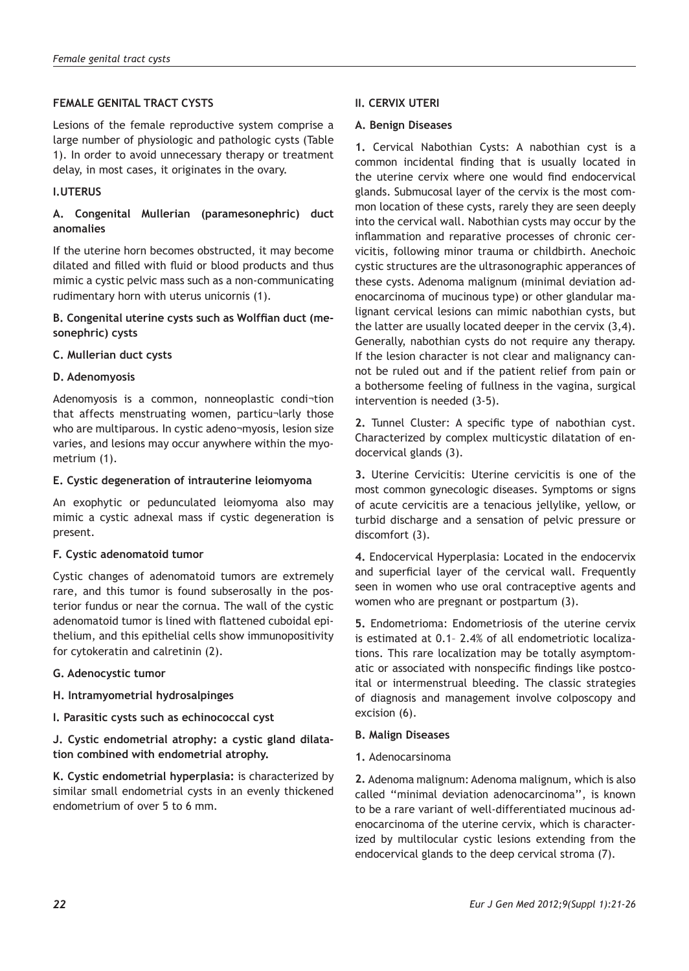# **FEMALE GENITAL TRACT CYSTS**

Lesions of the female reproductive system comprise a large number of physiologic and pathologic cysts (Table 1). In order to avoid unnecessary therapy or treatment delay, in most cases, it originates in the ovary.

# **I.UTERUS**

# **A. Congenital Mullerian (paramesonephric) duct anomalies**

If the uterine horn becomes obstructed, it may become dilated and filled with fluid or blood products and thus mimic a cystic pelvic mass such as a non-communicating rudimentary horn with uterus unicornis (1).

# **B. Congenital uterine cysts such as Wolffian duct (mesonephric) cysts**

# **C. Mullerian duct cysts**

## **D. Adenomyosis**

Adenomyosis is a common, nonneoplastic condi¬tion that affects menstruating women, particu¬larly those who are multiparous. In cystic adeno¬myosis, lesion size varies, and lesions may occur anywhere within the myometrium (1).

#### **E. Cystic degeneration of intrauterine leiomyoma**

An exophytic or pedunculated leiomyoma also may mimic a cystic adnexal mass if cystic degeneration is present.

#### **F. Cystic adenomatoid tumor**

Cystic changes of adenomatoid tumors are extremely rare, and this tumor is found subserosally in the posterior fundus or near the cornua. The wall of the cystic adenomatoid tumor is lined with flattened cuboidal epithelium, and this epithelial cells show immunopositivity for cytokeratin and calretinin (2).

#### **G. Adenocystic tumor**

# **H. Intramyometrial hydrosalpinges**

**I. Parasitic cysts such as echinococcal cyst**

**J. Cystic endometrial atrophy: a cystic gland dilatation combined with endometrial atrophy.**

**K. Cystic endometrial hyperplasia:** is characterized by similar small endometrial cysts in an evenly thickened endometrium of over 5 to 6 mm.

## **II. CERVIX UTERI**

## **A. Benign Diseases**

**1.** Cervical Nabothian Cysts: A nabothian cyst is a common incidental finding that is usually located in the uterine cervix where one would find endocervical glands. Submucosal layer of the cervix is the most common location of these cysts, rarely they are seen deeply into the cervical wall. Nabothian cysts may occur by the inflammation and reparative processes of chronic cervicitis, following minor trauma or childbirth. Anechoic cystic structures are the ultrasonographic apperances of these cysts. Adenoma malignum (minimal deviation adenocarcinoma of mucinous type) or other glandular malignant cervical lesions can mimic nabothian cysts, but the latter are usually located deeper in the cervix (3,4). Generally, nabothian cysts do not require any therapy. If the lesion character is not clear and malignancy cannot be ruled out and if the patient relief from pain or a bothersome feeling of fullness in the vagina, surgical intervention is needed (3-5).

**2.** Tunnel Cluster: A specific type of nabothian cyst. Characterized by complex multicystic dilatation of endocervical glands (3).

**3.** Uterine Cervicitis: Uterine cervicitis is one of the most common gynecologic diseases. Symptoms or signs of acute cervicitis are a tenacious jellylike, yellow, or turbid discharge and a sensation of pelvic pressure or discomfort (3).

**4.** Endocervical Hyperplasia: Located in the endocervix and superficial layer of the cervical wall. Frequently seen in women who use oral contraceptive agents and women who are pregnant or postpartum (3).

**5.** Endometrioma: Endometriosis of the uterine cervix is estimated at 0.1– 2.4% of all endometriotic localizations. This rare localization may be totally asymptomatic or associated with nonspecific findings like postcoital or intermenstrual bleeding. The classic strategies of diagnosis and management involve colposcopy and excision (6).

#### **B. Malign Diseases**

#### **1.** Adenocarsinoma

**2.** Adenoma malignum: Adenoma malignum, which is also called ''minimal deviation adenocarcinoma'', is known to be a rare variant of well-differentiated mucinous adenocarcinoma of the uterine cervix, which is characterized by multilocular cystic lesions extending from the endocervical glands to the deep cervical stroma (7).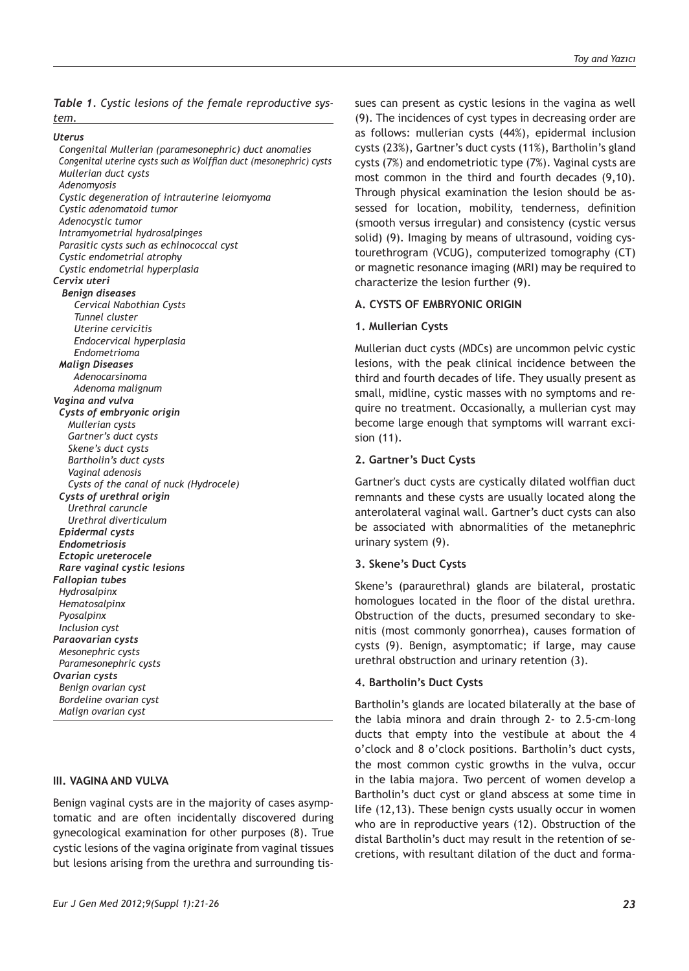*Table 1. Cystic lesions of the female reproductive system.*

*Uterus*

 *Congenital Mullerian (paramesonephric) duct anomalies Congenital uterine cysts such as Wolffian duct (mesonephric) cysts Mullerian duct cysts Adenomyosis Cystic degeneration of intrauterine leiomyoma Cystic adenomatoid tumor Adenocystic tumor Intramyometrial hydrosalpinges Parasitic cysts such as echinococcal cyst Cystic endometrial atrophy Cystic endometrial hyperplasia Cervix uteri Benign diseases Cervical Nabothian Cysts Tunnel cluster Uterine cervicitis Endocervical hyperplasia Endometrioma Malign Diseases Adenocarsinoma Adenoma malignum Vagina and vulva Cysts of embryonic origin Mullerian cysts Gartner's duct cysts Skene's duct cysts Bartholin's duct cysts Vaginal adenosis Cysts of the canal of nuck (Hydrocele) Cysts of urethral origin Urethral caruncle Urethral diverticulum Epidermal cysts Endometriosis Ectopic ureterocele Rare vaginal cystic lesions Fallopian tubes Hydrosalpinx Hematosalpinx Pyosalpinx Inclusion cyst Paraovarian cysts Mesonephric cysts Paramesonephric cysts Ovarian cysts Benign ovarian cyst Bordeline ovarian cyst Malign ovarian cyst*

#### **III. VAGINA AND VULVA**

Benign vaginal cysts are in the majority of cases asymptomatic and are often incidentally discovered during gynecological examination for other purposes (8). True cystic lesions of the vagina originate from vaginal tissues but lesions arising from the urethra and surrounding tissues can present as cystic lesions in the vagina as well (9). The incidences of cyst types in decreasing order are as follows: mullerian cysts (44%), epidermal inclusion cysts (23%), Gartner's duct cysts (11%), Bartholin's gland cysts (7%) and endometriotic type (7%). Vaginal cysts are most common in the third and fourth decades (9,10). Through physical examination the lesion should be assessed for location, mobility, tenderness, definition (smooth versus irregular) and consistency (cystic versus solid) (9). Imaging by means of ultrasound, voiding cystourethrogram (VCUG), computerized tomography (CT) or magnetic resonance imaging (MRI) may be required to characterize the lesion further (9).

#### **A. CYSTS OF EMBRYONIC ORIGIN**

## **1. Mullerian Cysts**

Mullerian duct cysts (MDCs) are uncommon pelvic cystic lesions, with the peak clinical incidence between the third and fourth decades of life. They usually present as small, midline, cystic masses with no symptoms and require no treatment. Occasionally, a mullerian cyst may become large enough that symptoms will warrant excision (11).

#### **2. Gartner's Duct Cysts**

Gartner's duct cysts are cystically dilated wolffian duct remnants and these cysts are usually located along the anterolateral vaginal wall. Gartner's duct cysts can also be associated with abnormalities of the metanephric urinary system (9).

## **3. Skene's Duct Cysts**

Skene's (paraurethral) glands are bilateral, prostatic homologues located in the floor of the distal urethra. Obstruction of the ducts, presumed secondary to skenitis (most commonly gonorrhea), causes formation of cysts (9). Benign, asymptomatic; if large, may cause urethral obstruction and urinary retention (3).

#### **4. Bartholin's Duct Cysts**

Bartholin's glands are located bilaterally at the base of the labia minora and drain through 2- to 2.5-cm–long ducts that empty into the vestibule at about the 4 o'clock and 8 o'clock positions. Bartholin's duct cysts, the most common cystic growths in the vulva, occur in the labia majora. Two percent of women develop a Bartholin's duct cyst or gland abscess at some time in life (12,13). These benign cysts usually occur in women who are in reproductive years (12). Obstruction of the distal Bartholin's duct may result in the retention of secretions, with resultant dilation of the duct and forma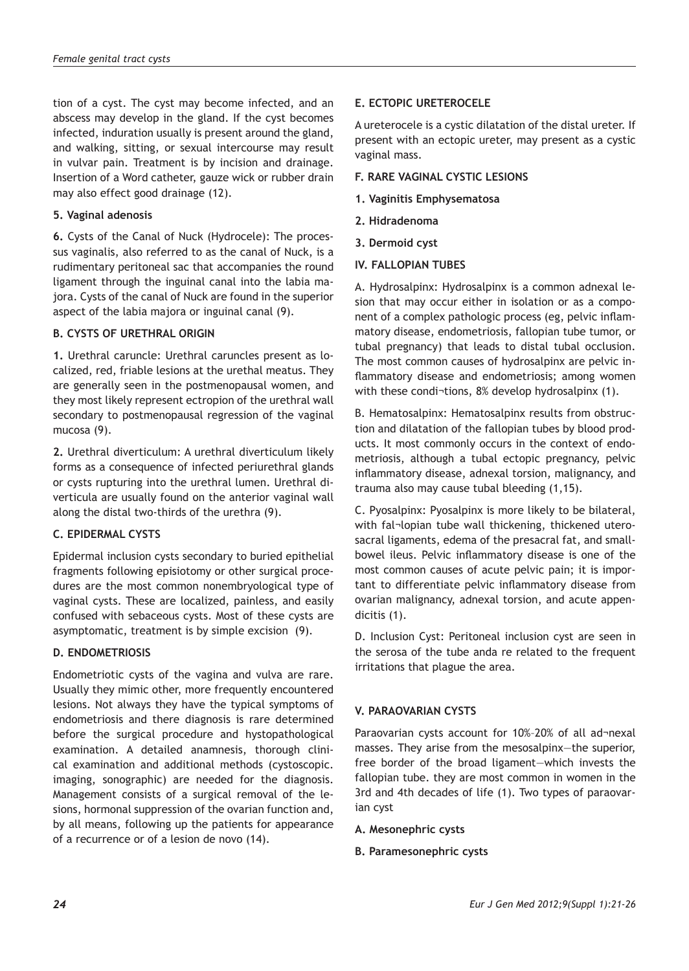tion of a cyst. The cyst may become infected, and an abscess may develop in the gland. If the cyst becomes infected, induration usually is present around the gland, and walking, sitting, or sexual intercourse may result in vulvar pain. Treatment is by incision and drainage. Insertion of a Word catheter, gauze wick or rubber drain may also effect good drainage (12).

## **5. Vaginal adenosis**

**6.** Cysts of the Canal of Nuck (Hydrocele): The processus vaginalis, also referred to as the canal of Nuck, is a rudimentary peritoneal sac that accompanies the round ligament through the inguinal canal into the labia majora. Cysts of the canal of Nuck are found in the superior aspect of the labia majora or inguinal canal (9).

# **B. CYSTS OF URETHRAL ORIGIN**

**1.** Urethral caruncle: Urethral caruncles present as localized, red, friable lesions at the urethal meatus. They are generally seen in the postmenopausal women, and they most likely represent ectropion of the urethral wall secondary to postmenopausal regression of the vaginal mucosa (9).

**2.** Urethral diverticulum: A urethral diverticulum likely forms as a consequence of infected periurethral glands or cysts rupturing into the urethral lumen. Urethral diverticula are usually found on the anterior vaginal wall along the distal two-thirds of the urethra (9).

# **C. EPIDERMAL CYSTS**

Epidermal inclusion cysts secondary to buried epithelial fragments following episiotomy or other surgical procedures are the most common nonembryological type of vaginal cysts. These are localized, painless, and easily confused with sebaceous cysts. Most of these cysts are asymptomatic, treatment is by simple excision (9).

#### **D. ENDOMETRIOSIS**

Endometriotic cysts of the vagina and vulva are rare. Usually they mimic other, more frequently encountered lesions. Not always they have the typical symptoms of endometriosis and there diagnosis is rare determined before the surgical procedure and hystopathological examination. A detailed anamnesis, thorough clinical examination and additional methods (cystoscopic. imaging, sonographic) are needed for the diagnosis. Management consists of a surgical removal of the lesions, hormonal suppression of the ovarian function and, by all means, following up the patients for appearance of a recurrence or of a lesion de novo (14).

# **E. ECTOPIC URETEROCELE**

A ureterocele is a cystic dilatation of the distal ureter. If present with an ectopic ureter, may present as a cystic vaginal mass.

## **F. RARE VAGINAL CYSTIC LESIONS**

- **1. Vaginitis Emphysematosa**
- **2. Hidradenoma**
- **3. Dermoid cyst**

## **IV. FALLOPIAN TUBES**

A. Hydrosalpinx: Hydrosalpinx is a common adnexal lesion that may occur either in isolation or as a component of a complex pathologic process (eg, pelvic inflammatory disease, endometriosis, fallopian tube tumor, or tubal pregnancy) that leads to distal tubal occlusion. The most common causes of hydrosalpinx are pelvic inflammatory disease and endometriosis; among women with these condi¬tions, 8% develop hydrosalpinx (1).

B. Hematosalpinx: Hematosalpinx results from obstruction and dilatation of the fallopian tubes by blood products. It most commonly occurs in the context of endometriosis, although a tubal ectopic pregnancy, pelvic inflammatory disease, adnexal torsion, malignancy, and trauma also may cause tubal bleeding (1,15).

C. Pyosalpinx: Pyosalpinx is more likely to be bilateral, with fal¬lopian tube wall thickening, thickened uterosacral ligaments, edema of the presacral fat, and smallbowel ileus. Pelvic inflammatory disease is one of the most common causes of acute pelvic pain; it is important to differentiate pelvic inflammatory disease from ovarian malignancy, adnexal torsion, and acute appendicitis (1).

D. Inclusion Cyst: Peritoneal inclusion cyst are seen in the serosa of the tube anda re related to the frequent irritations that plague the area.

# **V. PARAOVARIAN CYSTS**

Paraovarian cysts account for 10%–20% of all ad¬nexal masses. They arise from the mesosalpinx—the superior, free border of the broad ligament—which invests the fallopian tube. they are most common in women in the 3rd and 4th decades of life (1). Two types of paraovarian cyst

- **A. Mesonephric cysts**
- **B. Paramesonephric cysts**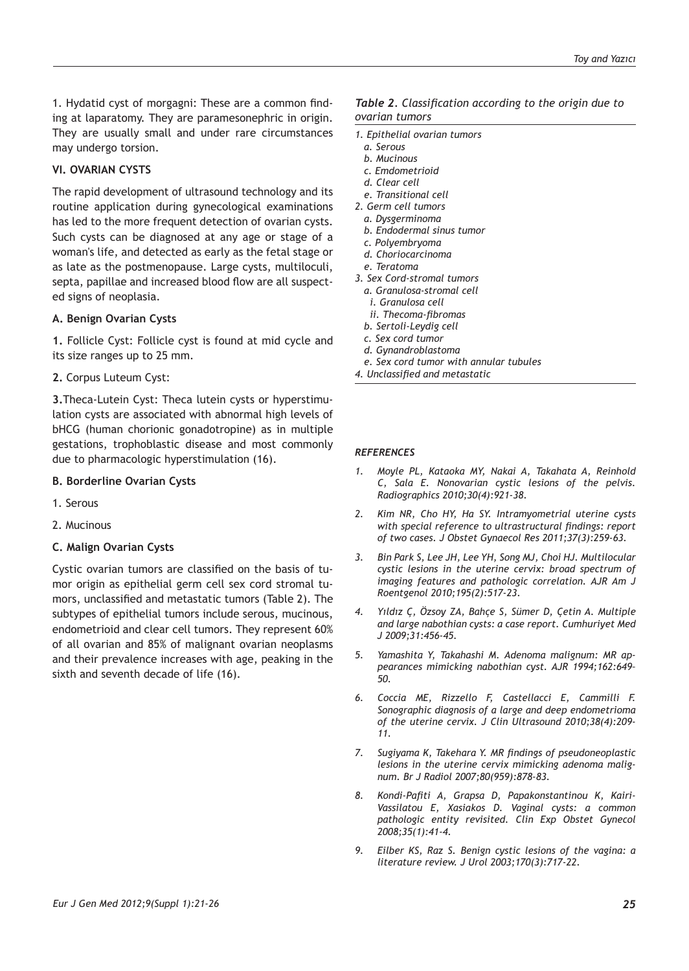1. Hydatid cyst of morgagni: These are a common finding at laparatomy. They are paramesonephric in origin. They are usually small and under rare circumstances may undergo torsion.

# **VI. OVARIAN CYSTS**

The rapid development of ultrasound technology and its routine application during gynecological examinations has led to the more frequent detection of ovarian cysts. Such cysts can be diagnosed at any age or stage of a woman's life, and detected as early as the fetal stage or as late as the postmenopause. Large cysts, multiloculi, septa, papillae and increased blood flow are all suspected signs of neoplasia.

## **A. Benign Ovarian Cysts**

**1.** Follicle Cyst: Follicle cyst is found at mid cycle and its size ranges up to 25 mm.

**2.** Corpus Luteum Cyst:

**3.**Theca-Lutein Cyst: Theca lutein cysts or hyperstimulation cysts are associated with abnormal high levels of bHCG (human chorionic gonadotropine) as in multiple gestations, trophoblastic disease and most commonly due to pharmacologic hyperstimulation (16).

#### **B. Borderline Ovarian Cysts**

- 1. Serous
- 2. Mucinous

#### **C. Malign Ovarian Cysts**

Cystic ovarian tumors are classified on the basis of tumor origin as epithelial germ cell sex cord stromal tumors, unclassified and metastatic tumors (Table 2). The subtypes of epithelial tumors include serous, mucinous, endometrioid and clear cell tumors. They represent 60% of all ovarian and 85% of malignant ovarian neoplasms and their prevalence increases with age, peaking in the sixth and seventh decade of life (16).

#### *Table 2. Classification according to the origin due to ovarian tumors*

- *1. Epithelial ovarian tumors*
- *a. Serous*
- *b. Mucinous*
- *c. Emdometrioid*
- *d. Clear cell*
- *e. Transitional cell*
- *2. Germ cell tumors*
	- *a. Dysgerminoma b. Endodermal sinus tumor*
	- *c. Polyembryoma*
	- *d. Choriocarcinoma*
	- *e. Teratoma*
- *3. Sex Cord-stromal tumors*
- *a. Granulosa-stromal cell*
	- *i. Granulosa cell*
	- *ii. Thecoma-fibromas*
- *b. Sertoli-Leydig cell*
- *c. Sex cord tumor*
- *d. Gynandroblastoma*
- *e. Sex cord tumor with annular tubules*
- *4. Unclassified and metastatic*

#### *REFERENCES*

- *1. Moyle PL, Kataoka MY, Nakai A, Takahata A, Reinhold C, Sala E. Nonovarian cystic lesions of the pelvis. Radiographics 2010;30(4):921-38.*
- *2. Kim NR, Cho HY, Ha SY. Intramyometrial uterine cysts with special reference to ultrastructural findings: report of two cases. J Obstet Gynaecol Res 2011;37(3):259-63.*
- *3. Bin Park S, Lee JH, Lee YH, Song MJ, Choi HJ. Multilocular cystic lesions in the uterine cervix: broad spectrum of imaging features and pathologic correlation. AJR Am J Roentgenol 2010;195(2):517-23.*
- *4. Yıldız Ç, Özsoy ZA, Bahçe S, Sümer D, Çetin A. Multiple and large nabothian cysts: a case report. Cumhuriyet Med J 2009;31:456-45.*
- *5. Yamashita Y, Takahashi M. Adenoma malignum: MR appearances mimicking nabothian cyst. AJR 1994;162:649– 50.*
- *6. Coccia ME, Rizzello F, Castellacci E, Cammilli F. Sonographic diagnosis of a large and deep endometrioma of the uterine cervix. J Clin Ultrasound 2010;38(4):209- 11.*
- *7. Sugiyama K, Takehara Y. MR findings of pseudoneoplastic lesions in the uterine cervix mimicking adenoma malignum. Br J Radiol 2007;80(959):878-83.*
- *8. Kondi-Pafiti A, Grapsa D, Papakonstantinou K, Kairi-Vassilatou E, Xasiakos D. Vaginal cysts: a common pathologic entity revisited. Clin Exp Obstet Gynecol 2008;35(1):41-4.*
- *9. Eilber KS, Raz S. Benign cystic lesions of the vagina: a literature review. J Urol 2003;170(3):717-22.*